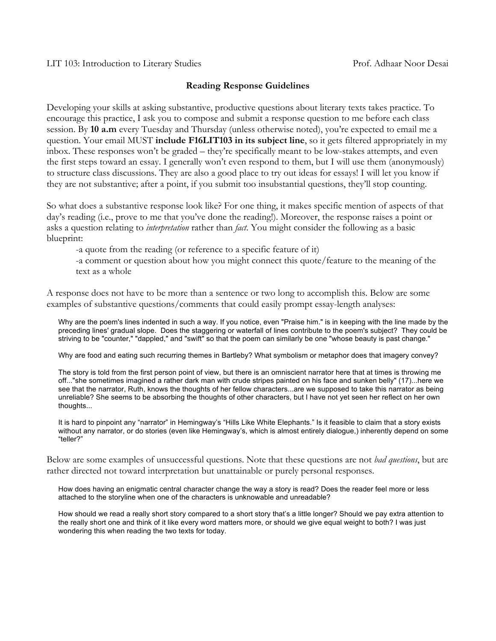LIT 103: Introduction to Literary Studies Prof. Adhaar Noor Desai

## **Reading Response Guidelines**

Developing your skills at asking substantive, productive questions about literary texts takes practice. To encourage this practice, I ask you to compose and submit a response question to me before each class session. By **10 a.m** every Tuesday and Thursday (unless otherwise noted), you're expected to email me a question. Your email MUST **include F16LIT103 in its subject line**, so it gets filtered appropriately in my inbox. These responses won't be graded – they're specifically meant to be low-stakes attempts, and even the first steps toward an essay. I generally won't even respond to them, but I will use them (anonymously) to structure class discussions. They are also a good place to try out ideas for essays! I will let you know if they are not substantive; after a point, if you submit too insubstantial questions, they'll stop counting.

So what does a substantive response look like? For one thing, it makes specific mention of aspects of that day's reading (i.e., prove to me that you've done the reading!). Moreover, the response raises a point or asks a question relating to *interpretation* rather than *fact*. You might consider the following as a basic blueprint:

-a quote from the reading (or reference to a specific feature of it)

-a comment or question about how you might connect this quote/feature to the meaning of the text as a whole

A response does not have to be more than a sentence or two long to accomplish this. Below are some examples of substantive questions/comments that could easily prompt essay-length analyses:

Why are the poem's lines indented in such a way. If you notice, even "Praise him." is in keeping with the line made by the preceding lines' gradual slope. Does the staggering or waterfall of lines contribute to the poem's subject? They could be striving to be "counter," "dappled," and "swift" so that the poem can similarly be one "whose beauty is past change."

Why are food and eating such recurring themes in Bartleby? What symbolism or metaphor does that imagery convey?

The story is told from the first person point of view, but there is an omniscient narrator here that at times is throwing me off..."she sometimes imagined a rather dark man with crude stripes painted on his face and sunken belly" (17)...here we see that the narrator, Ruth, knows the thoughts of her fellow characters...are we supposed to take this narrator as being unreliable? She seems to be absorbing the thoughts of other characters, but I have not yet seen her reflect on her own thoughts...

It is hard to pinpoint any "narrator" in Hemingway's "Hills Like White Elephants." Is it feasible to claim that a story exists without any narrator, or do stories (even like Hemingway's, which is almost entirely dialogue,) inherently depend on some "teller?"

Below are some examples of unsuccessful questions. Note that these questions are not *bad questions*, but are rather directed not toward interpretation but unattainable or purely personal responses.

How does having an enigmatic central character change the way a story is read? Does the reader feel more or less attached to the storyline when one of the characters is unknowable and unreadable?

How should we read a really short story compared to a short story that's a little longer? Should we pay extra attention to the really short one and think of it like every word matters more, or should we give equal weight to both? I was just wondering this when reading the two texts for today.